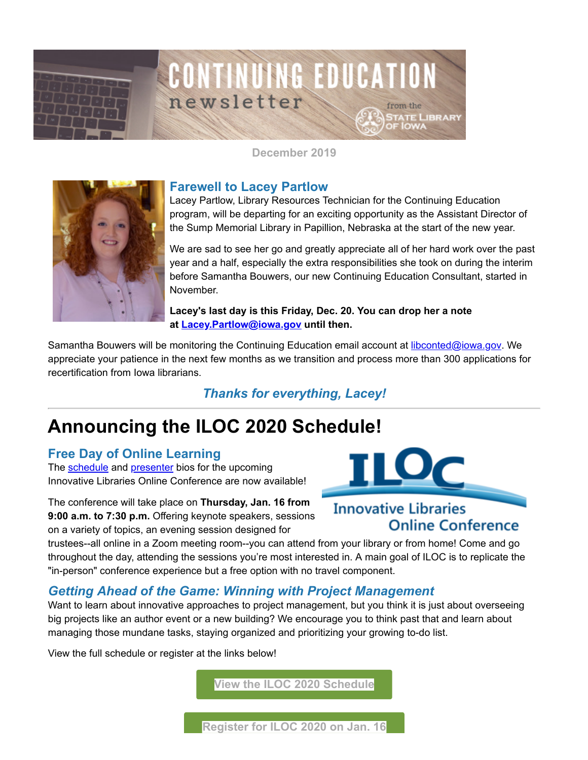

**December 2019**



### **Farewell to Lacey Partlow**

Lacey Partlow, Library Resources Technician for the Continuing Education program, will be departing for an exciting opportunity as the Assistant Director of the Sump Memorial Library in Papillion, Nebraska at the start of the new year.

We are sad to see her go and greatly appreciate all of her hard work over the past year and a half, especially the extra responsibilities she took on during the interim before Samantha Bouwers, our new Continuing Education Consultant, started in November.

#### **Lacey's last day is this Friday, Dec. 20. You can drop her a note at [Lacey.Partlow@iowa.gov](https://mail.google.com/mail/?fs=1&tf=1&to=Lacey.Partlow%40iowa.gov&utm_medium=email&utm_source=govdelivery&view=cm) until then.**

Samantha Bouwers will be monitoring the Continuing Education email account at [libconted@iowa.gov](https://mail.google.com/mail/?fs=1&tf=1&to=libconted%40iowa.gov&utm_medium=email&utm_source=govdelivery&view=cm). We appreciate your patience in the next few months as we transition and process more than 300 applications for recertification from Iowa librarians.

*Thanks for everything, Lacey!*

# **Announcing the ILOC 2020 Schedule!**

### **Free Day of Online Learning**

The [schedule](https://www.statelibraryofiowa.org/ld/c-d/continuing-ed/iloc/iloc2020/ilocschedule20?utm_medium=email&utm_source=govdelivery) and [presenter](https://www.statelibraryofiowa.org/ld/c-d/continuing-ed/iloc/iloc2020/presenters?utm_medium=email&utm_source=govdelivery) bios for the upcoming Innovative Libraries Online Conference are now available!

The conference will take place on **Thursday, Jan. 16 from 9:00 a.m. to 7:30 p.m.** Offering keynote speakers, sessions on a variety of topics, an evening session designed for



# **Innovative Libraries Online Conference**

trustees--all online in a Zoom meeting room--you can attend from your library or from home! Come and go throughout the day, attending the sessions you're most interested in. A main goal of ILOC is to replicate the "in-person" conference experience but a free option with no travel component.

# *Getting Ahead of the Game: Winning with Project Management*

Want to learn about innovative approaches to project management, but you think it is just about overseeing big projects like an author event or a new building? We encourage you to think past that and learn about managing those mundane tasks, staying organized and prioritizing your growing to-do list.

View the full schedule or register at the links below!

**[View the ILOC 2020 Schedule](https://www.statelibraryofiowa.org/ld/c-d/continuing-ed/iloc/iloc2020/ilocschedule20?utm_medium=email&utm_source=govdelivery)**

**[Register for ILOC 2020 on Jan. 16](https://statelibraryofiowa.lmscheckout.com/Course/view/iloc-2020-getting-ahead-of-the-game-winning-with-project-management-webinar-1?utm_medium=email&utm_source=govdelivery)**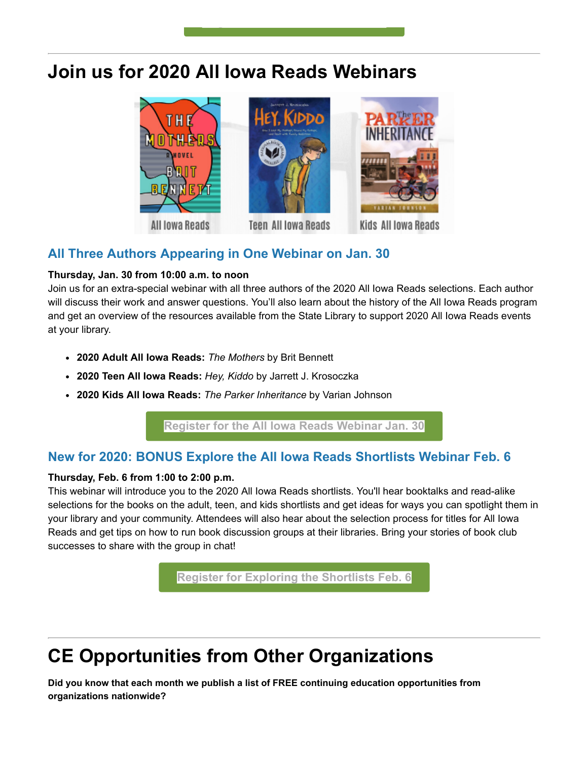# **Join us for 2020 All Iowa Reads Webinars**

**[g](https://statelibraryofiowa.lmscheckout.com/Course/view/iloc-2020-getting-ahead-of-the-game-winning-with-project-management-webinar-1?utm_medium=email&utm_source=govdelivery)**



# **All Three Authors Appearing in One Webinar on Jan. 30**

#### **Thursday, Jan. 30 from 10:00 a.m. to noon**

Join us for an extra-special webinar with all three authors of the 2020 All Iowa Reads selections. Each author will discuss their work and answer questions. You'll also learn about the history of the All Iowa Reads program and get an overview of the resources available from the State Library to support 2020 All Iowa Reads events at your library.

- **2020 Adult All Iowa Reads:** *The Mothers* by Brit Bennett
- **2020 Teen All Iowa Reads:** *Hey, Kiddo* by Jarrett J. Krosoczka
- **2020 Kids All Iowa Reads:** *The Parker Inheritance* by Varian Johnson

**[Register for the All Iowa Reads Webinar Jan. 30](https://statelibraryofiowa.lmscheckout.com/Course/view/all-iowa-reads-2020-author-presentations-webinar-1?utm_medium=email&utm_source=govdelivery)**

# **New for 2020: BONUS Explore the All Iowa Reads Shortlists Webinar Feb. 6**

#### **Thursday, Feb. 6 from 1:00 to 2:00 p.m.**

This webinar will introduce you to the 2020 All Iowa Reads shortlists. You'll hear booktalks and read-alike selections for the books on the adult, teen, and kids shortlists and get ideas for ways you can spotlight them in your library and your community. Attendees will also hear about the selection process for titles for All Iowa Reads and get tips on how to run book discussion groups at their libraries. Bring your stories of book club successes to share with the group in chat!

**[Register for Exploring the Shortlists Feb. 6](https://statelibraryofiowa.lmscheckout.com/Course/view/all-iowa-reads-2020-exploring-the-shortlists-1?utm_medium=email&utm_source=govdelivery)**

# **CE Opportunities from Other Organizations**

**Did you know that each month we publish a list of FREE continuing education opportunities from organizations nationwide?**